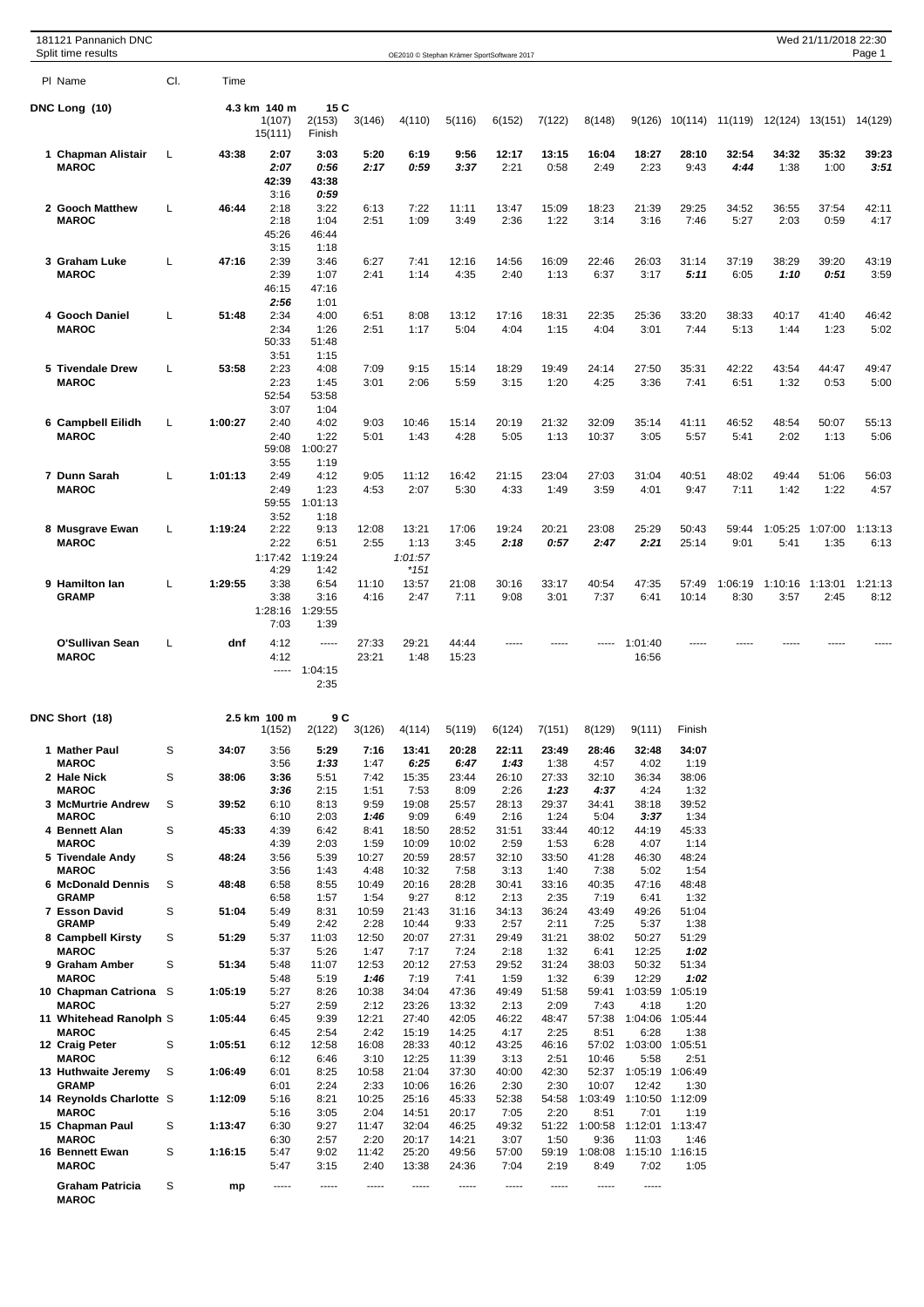| 181121 Pannanich DNC<br>Split time results |     |         |                         |                         |               | OE2010 © Stephan Krämer SportSoftware 2017 |                |               |               |                 |                                  |                         |                                         |                 | Wed 21/11/2018 22:30 | Page 1          |
|--------------------------------------------|-----|---------|-------------------------|-------------------------|---------------|--------------------------------------------|----------------|---------------|---------------|-----------------|----------------------------------|-------------------------|-----------------------------------------|-----------------|----------------------|-----------------|
| PI Name                                    | CI. | Time    |                         |                         |               |                                            |                |               |               |                 |                                  |                         |                                         |                 |                      |                 |
| DNC Long (10)                              |     |         | 4.3 km 140 m            | 15 C                    |               |                                            |                |               |               |                 |                                  |                         |                                         |                 |                      |                 |
|                                            |     |         | 1(107)<br>15(111)       | 2(153)<br>Finish        | 3(146)        | 4(110)                                     | 5(116)         | 6(152)        | 7(122)        | 8(148)          | 9(126)                           |                         | 10(114) 11(119) 12(124) 13(151) 14(129) |                 |                      |                 |
| 1 Chapman Alistair                         | L   | 43:38   | 2:07                    | 3:03                    | 5:20          | 6:19                                       | 9:56           | 12:17         | 13:15         | 16:04           | 18:27                            | 28:10                   | 32:54                                   | 34:32           | 35:32                | 39:23           |
| <b>MAROC</b>                               |     |         | 2:07<br>42:39           | 0:56<br>43:38           | 2:17          | 0:59                                       | 3:37           | 2:21          | 0:58          | 2:49            | 2:23                             | 9:43                    | 4:44                                    | 1:38            | 1:00                 | 3:51            |
|                                            |     |         | 3:16                    | 0:59                    |               |                                            |                |               |               |                 |                                  |                         |                                         |                 |                      |                 |
| 2 Gooch Matthew<br><b>MAROC</b>            | L   | 46:44   | 2:18<br>2:18            | 3:22<br>1:04            | 6:13<br>2:51  | 7:22<br>1:09                               | 11:11<br>3:49  | 13:47<br>2:36 | 15:09<br>1:22 | 18:23<br>3:14   | 21:39<br>3:16                    | 29:25<br>7:46           | 34:52<br>5:27                           | 36:55<br>2:03   | 37:54<br>0:59        | 42:11<br>4:17   |
|                                            |     |         | 45:26<br>3:15           | 46:44<br>1:18           |               |                                            |                |               |               |                 |                                  |                         |                                         |                 |                      |                 |
| 3 Graham Luke                              | L   | 47:16   | 2:39                    | 3:46                    | 6:27          | 7:41                                       | 12:16          | 14:56         | 16:09         | 22:46           | 26:03                            | 31:14                   | 37:19                                   | 38:29           | 39:20                | 43:19           |
| <b>MAROC</b>                               |     |         | 2:39<br>46:15           | 1:07<br>47:16           | 2:41          | 1:14                                       | 4:35           | 2:40          | 1:13          | 6:37            | 3:17                             | 5:11                    | 6:05                                    | 1:10            | 0:51                 | 3:59            |
| 4 Gooch Daniel                             | L   | 51:48   | 2:56<br>2:34            | 1:01<br>4:00            | 6:51          | 8:08                                       | 13:12          | 17:16         | 18:31         | 22:35           | 25:36                            | 33:20                   | 38:33                                   | 40:17           | 41:40                | 46:42           |
| <b>MAROC</b>                               |     |         | 2:34                    | 1:26                    | 2:51          | 1:17                                       | 5:04           | 4:04          | 1:15          | 4:04            | 3:01                             | 7:44                    | 5:13                                    | 1:44            | 1:23                 | 5:02            |
|                                            |     |         | 50:33<br>3:51           | 51:48<br>1:15           |               |                                            |                |               |               |                 |                                  |                         |                                         |                 |                      |                 |
| 5 Tivendale Drew                           | L   | 53:58   | 2:23                    | 4:08                    | 7:09          | 9:15                                       | 15:14          | 18:29         | 19:49         | 24:14           | 27:50                            | 35:31                   | 42:22                                   | 43:54           | 44:47                | 49:47           |
| <b>MAROC</b>                               |     |         | 2:23<br>52:54           | 1:45<br>53:58           | 3:01          | 2:06                                       | 5:59           | 3:15          | 1:20          | 4:25            | 3:36                             | 7:41                    | 6:51                                    | 1:32            | 0:53                 | 5:00            |
|                                            | L   | 1:00:27 | 3:07<br>2:40            | 1:04<br>4:02            | 9:03          | 10:46                                      | 15:14          | 20:19         | 21:32         | 32:09           | 35:14                            | 41:11                   | 46:52                                   | 48:54           | 50:07                | 55:13           |
| 6 Campbell Eilidh<br><b>MAROC</b>          |     |         | 2:40                    | 1:22                    | 5:01          | 1:43                                       | 4:28           | 5:05          | 1:13          | 10:37           | 3:05                             | 5:57                    | 5:41                                    | 2:02            | 1:13                 | 5:06            |
|                                            |     |         | 59:08<br>3:55           | 1:00:27<br>1:19         |               |                                            |                |               |               |                 |                                  |                         |                                         |                 |                      |                 |
| 7 Dunn Sarah                               | L   | 1:01:13 | 2:49                    | 4:12                    | 9:05          | 11:12                                      | 16:42          | 21:15         | 23:04         | 27:03           | 31:04                            | 40:51                   | 48:02                                   | 49:44           | 51:06                | 56:03           |
| <b>MAROC</b>                               |     |         | 2:49<br>59:55           | 1:23<br>1:01:13         | 4:53          | 2:07                                       | 5:30           | 4:33          | 1:49          | 3:59            | 4:01                             | 9:47                    | 7:11                                    | 1:42            | 1:22                 | 4:57            |
|                                            |     |         | 3:52                    | 1:18                    |               |                                            |                |               |               |                 |                                  |                         |                                         |                 |                      |                 |
| 8 Musgrave Ewan<br><b>MAROC</b>            | L   | 1:19:24 | 2:22<br>2:22            | 9:13<br>6:51            | 12:08<br>2:55 | 13:21<br>1:13                              | 17:06<br>3:45  | 19:24<br>2:18 | 20:21<br>0:57 | 23:08<br>2:47   | 25:29<br>2:21                    | 50:43<br>25:14          | 59:44<br>9:01                           | 1:05:25<br>5:41 | 1:07:00<br>1:35      | 1:13:13<br>6:13 |
|                                            |     |         | 1:17:42<br>4:29         | 1:19:24<br>1:42         |               | 1:01:57<br>$*151$                          |                |               |               |                 |                                  |                         |                                         |                 |                      |                 |
| 9 Hamilton lan                             | L   | 1:29:55 | 3:38                    | 6:54                    | 11:10         | 13:57                                      | 21:08          | 30:16         | 33:17         | 40:54           | 47:35                            | 57:49                   | 1:06:19                                 | 1:10:16         | 1:13:01              | 1:21:13         |
| <b>GRAMP</b>                               |     |         | 3:38<br>1:28:16<br>7:03 | 3:16<br>1:29:55<br>1:39 | 4:16          | 2:47                                       | 7:11           | 9:08          | 3:01          | 7:37            | 6:41                             | 10:14                   | 8:30                                    | 3:57            | 2:45                 | 8:12            |
| <b>O'Sullivan Sean</b>                     | L   | dnf     | 4:12                    | -----                   | 27:33         | 29:21                                      | 44:44          | $- - - - -$   | -----         |                 | 1:01:40                          | -----                   |                                         |                 |                      |                 |
| <b>MAROC</b>                               |     |         | 4:12                    | $--- 1:04:15$<br>2:35   | 23:21         | 1:48                                       | 15:23          |               |               |                 | 16:56                            |                         |                                         |                 |                      |                 |
| DNC Short (18)                             |     |         | 2.5 km 100 m<br>1(152)  | 9 C<br>2(122)           | 3(126)        | 4(114)                                     | 5(119)         | 6(124)        | 7(151)        | 8(129)          | 9(111)                           | Finish                  |                                         |                 |                      |                 |
| 1 Mather Paul                              | S   | 34:07   | 3:56                    | 5:29                    | 7:16          | 13:41                                      | 20:28          | 22:11         | 23:49         | 28:46           | 32:48                            | 34:07                   |                                         |                 |                      |                 |
| <b>MAROC</b><br>2 Hale Nick                | S   | 38:06   | 3:56<br>3:36            | 1:33<br>5:51            | 1:47<br>7:42  | 6:25<br>15:35                              | 6:47<br>23:44  | 1:43<br>26:10 | 1:38<br>27:33 | 4:57<br>32:10   | 4:02<br>36:34                    | 1:19<br>38:06           |                                         |                 |                      |                 |
| <b>MAROC</b>                               |     |         | 3:36                    | 2:15                    | 1:51          | 7:53                                       | 8:09           | 2:26          | 1:23          | 4:37            | 4:24                             | 1:32                    |                                         |                 |                      |                 |
| 3 McMurtrie Andrew<br><b>MAROC</b>         | S   | 39:52   | 6:10<br>6:10            | 8:13<br>2:03            | 9:59<br>1:46  | 19:08<br>9:09                              | 25:57<br>6:49  | 28:13<br>2:16 | 29:37<br>1:24 | 34:41<br>5:04   | 38:18<br>3:37                    | 39:52<br>1:34           |                                         |                 |                      |                 |
| 4 Bennett Alan<br><b>MAROC</b>             | S   | 45:33   | 4:39<br>4:39            | 6:42<br>2:03            | 8:41<br>1:59  | 18:50<br>10:09                             | 28:52<br>10:02 | 31:51<br>2:59 | 33:44<br>1:53 | 40:12<br>6:28   | 44:19<br>4:07                    | 45:33<br>1:14           |                                         |                 |                      |                 |
| 5 Tivendale Andy                           | S   | 48:24   | 3:56                    | 5:39                    | 10:27         | 20:59                                      | 28:57          | 32:10         | 33:50         | 41:28           | 46:30                            | 48:24                   |                                         |                 |                      |                 |
| <b>MAROC</b><br>6 McDonald Dennis          | S   | 48:48   | 3:56<br>6:58            | 1:43<br>8:55            | 4:48<br>10:49 | 10:32<br>20:16                             | 7:58<br>28:28  | 3:13<br>30:41 | 1:40<br>33:16 | 7:38<br>40:35   | 5:02<br>47:16                    | 1:54<br>48:48           |                                         |                 |                      |                 |
| <b>GRAMP</b>                               |     |         | 6:58                    | 1:57                    | 1:54          | 9:27                                       | 8:12           | 2:13          | 2:35          | 7:19            | 6:41                             | 1:32                    |                                         |                 |                      |                 |
| 7 Esson David<br><b>GRAMP</b>              | S   | 51:04   | 5:49<br>5:49            | 8:31<br>2:42            | 10:59<br>2:28 | 21:43<br>10:44                             | 31:16<br>9:33  | 34:13<br>2:57 | 36:24<br>2:11 | 43:49<br>7:25   | 49:26<br>5:37                    | 51:04<br>1:38           |                                         |                 |                      |                 |
| 8 Campbell Kirsty<br><b>MAROC</b>          | S   | 51:29   | 5:37<br>5:37            | 11:03<br>5:26           | 12:50<br>1:47 | 20:07<br>7:17                              | 27:31<br>7:24  | 29:49<br>2:18 | 31:21<br>1:32 | 38:02<br>6:41   | 50:27<br>12:25                   | 51:29<br>1:02           |                                         |                 |                      |                 |
| 9 Graham Amber                             | S   | 51:34   | 5:48                    | 11:07                   | 12:53         | 20:12                                      | 27:53          | 29:52         | 31:24         | 38:03           | 50:32                            | 51:34                   |                                         |                 |                      |                 |
| <b>MAROC</b><br>10 Chapman Catriona S      |     | 1:05:19 | 5:48<br>5:27            | 5:19<br>8:26            | 1:46<br>10:38 | 7:19<br>34:04                              | 7:41<br>47:36  | 1:59<br>49:49 | 1:32<br>51:58 | 6:39<br>59:41   | 12:29<br>1:03:59                 | 1:02<br>1:05:19         |                                         |                 |                      |                 |
| <b>MAROC</b>                               |     |         | 5:27                    | 2:59                    | 2:12          | 23:26                                      | 13:32          | 2:13          | 2:09          | 7:43            | 4:18                             | 1:20                    |                                         |                 |                      |                 |
| 11 Whitehead Ranolph S<br><b>MAROC</b>     |     | 1:05:44 | 6:45<br>6:45            | 9:39<br>2:54            | 12:21<br>2:42 | 27:40<br>15:19                             | 42:05<br>14:25 | 46:22<br>4:17 | 48:47<br>2:25 | 57:38<br>8:51   | 1:04:06<br>6:28                  | 1:05:44<br>1:38         |                                         |                 |                      |                 |
| 12 Craig Peter<br><b>MAROC</b>             | S   | 1:05:51 | 6:12                    | 12:58                   | 16:08         | 28:33                                      | 40:12          | 43:25         | 46:16         |                 | 57:02 1:03:00 1:05:51<br>5:58    | 2:51                    |                                         |                 |                      |                 |
| 13 Huthwaite Jeremy                        | S   | 1:06:49 | 6:12<br>6:01            | 6:46<br>8:25            | 3:10<br>10:58 | 12:25<br>21:04                             | 11:39<br>37:30 | 3:13<br>40:00 | 2:51<br>42:30 | 10:46           | 52:37 1:05:19 1:06:49            |                         |                                         |                 |                      |                 |
| <b>GRAMP</b><br>14 Reynolds Charlotte S    |     | 1:12:09 | 6:01<br>5:16            | 2:24<br>8:21            | 2:33<br>10:25 | 10:06<br>25:16                             | 16:26<br>45:33 | 2:30<br>52:38 | 2:30<br>54:58 | 10:07           | 12:42<br>1:03:49 1:10:50 1:12:09 | 1:30                    |                                         |                 |                      |                 |
| <b>MAROC</b>                               |     |         | 5:16                    | 3:05                    | 2:04          | 14:51                                      | 20:17          | 7:05          | 2:20          | 8:51            | 7:01                             | 1:19                    |                                         |                 |                      |                 |
| 15 Chapman Paul<br><b>MAROC</b>            | S   | 1:13:47 | 6:30<br>6:30            | 9:27<br>2:57            | 11:47<br>2:20 | 32:04<br>20:17                             | 46:25<br>14:21 | 49:32<br>3:07 | 51:22<br>1:50 | 1:00:58<br>9:36 | 1:12:01 1:13:47<br>11:03         | 1:46                    |                                         |                 |                      |                 |
| 16 Bennett Ewan<br><b>MAROC</b>            | S   | 1:16:15 | 5:47<br>5:47            | 9:02<br>3:15            | 11:42<br>2:40 | 25:20<br>13:38                             | 49:56<br>24:36 | 57:00<br>7:04 | 59:19<br>2:19 | 1:08:08<br>8:49 | 7:02                             | 1:15:10 1:16:15<br>1:05 |                                         |                 |                      |                 |
| <b>Graham Patricia</b><br><b>MAROC</b>     | S   | mp      | -----                   | -----                   | -----         | -----                                      | -----          | -----         | -----         | -----           | -----                            |                         |                                         |                 |                      |                 |